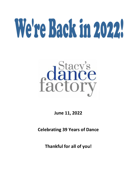# Were Back in 2022



**June 11, 2022**

**Celebrating 39 Years of Dance**

**Thankful for all of you!**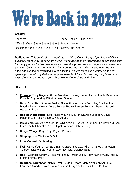# We're Back in 2022

# **Credits:**

Teachers-.............................................Stacy, Emilee, Olivia, Abby Office Staffo o o o o o o o o o o o o o Megan, Merle Backstageõ õ õ õ õ õ õ õ õ õ õ õ õ. Steve, Sue, Andrea

**Dedication**: *This year's show is dedicated to Olivia Orwig. Many of you know of Olivia but many more know of her mom Merle. Merle has been an integral part of our office staff for many years, She has volunteered for everything over the past 18 years and never lets us down. Olivia was unfortunately taken from us unexpectedly in November, Her kind heart and support of everyone is really missed. We know she's in a better place and spending time with my dad and her grandparents. All are dance-loving people and are missed every day. We love you Olivia, Merle, Doug, Josie and Meg.*

# **Scene 1**

- 1. **Flowers** Emily Rogers, Alyssa Moreland. Sydney Heuer, Harper Lamb, Kate Lamb, Kiara McCoy, Audrey Elliott, Adyson Shane
- 2. **Baby I'm a Star** Summer Berlin, Skylee Boitnott, Kacy Bertsche, Eva Faulkner, Maddie Brown, Kinlynn Dryer, Brynlee Brown, Lauren Burkhart, Peyton Secord, Harper Dillman
- 3. **Boogie Wonderland** Kate Kalitzky, Lyndi Maurer, Dawson Logsdon, Olivia Macpherson, Hailey Secord, Kat Durako
- 4. **Mickey Motion** Addison Morris, Whitley Volk, Evelyn Baughman, Hadley Ferguson, Luna Smith, Charlotte Probst, Opal Bateman, Collins Henry
- 5. Boogie Woogie Bugle Boy- Payten Presley
- 6. **Slipping** -Mari Watkins- Sr Solo
- 7. **Lose Control** -Bri Fasking
- 8. **I Will Carry You** Chloe Stutzman, Clara Grant, Lyza Miller, Charley Charleston, Aubrey Kalitzky, Faith Young, Zoe Picchietti, Delaney Butler
- 9. **Hair** Gabrielle Streily, Alyssa Moreland, Harper Lamb, Abby Kachelmuss, Audrey Elliott, Faithe Streily
- 10.**Heartbeat Drumbeat** Kinlyn Dryer, Peyton Secord, McKinley Dennison, Eva Faulkner, Maddie Brown, Lauren Burkhart, Brynlee Brown, Skylee Boitnott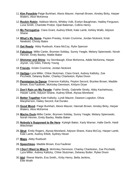- 11.**Kim Possible**-Paige Burkhart, Alexis Maurer, Hannah Brown, Ainsley Birky, Harper Waters, Alice McKenna
- 12.**Rockin Robin** Addison Morris, Whitley Volk, Evelyn Baughman, Hadley Ferguson, Luna Smith, Charlotte Probst, Opal Bateman, Collins Henry
- 13.**My Perrogative** Clara Grant, Audrey Elliott, Kate Lamb, Ashley Walls, Adyson Shane
- 14.**What's My Name** Payten Presley, Kristin Crumrine, Jordan Nickrent, Kristi Newbold, Christy Bates
- 15.**Get Ready** Abby Ruebush, Kiara McCoy, Rylie Spencer
- 16.**Fabulous** Millie Carter, Brynnen Soliday, Sunny Yeagle, Melany Spierowski, Norah Hevner, Emily Baxley, Mattie Baker
- 17.**Shimmer and Shine** Ivy Stombaugh, Elise McKenna, Addie McKenna, Harper Joyner, Lily Giles, Felicity Young
- 18.**Friends** Kristin Crumrine, Jordan Nickrent
- 19.**Vertigo**-Lyza Miller, Chloe Stutzman, Clara Grant, Aubrey Kalitzky, Zoe Picchietti, Delaney Butler, Charley Charleston, Rylee Dixon
- 20.**Permission to Dance** Emerson Kalitzky, Peyton Secord, Brynlee Brown, Maddie Brown, Eva Faulkner, McKinley Dennison, Kinlynn Dryer
- 21.**Don't Rain on My Parade** Faithe Streily, Gabrielle Streily, Abby Kachelmuss, Harper Lamb, Adyson Shane, Audrey Elliott, Alyssa Moreland
- 22.**Better Together**-Kate Kalitzky, Lyndi Maurer, Dawson Logsdon, Olivia Macpherson, Hailey Secord, Kat Durako
- 23.**Good Mood** Paige Burkhart, Alexis Maurer, Hannah Brown, Ainsley Birky, Harper Waters, Alice McKenna
- 24.**Macho Duck**-Millie Carter, Brynnen Soliday, Sunny Yeagle, Melany Spierowski, Norah Hevner, Emily Baxley, Mattie Baker
- 25.**Nobody's Supposed to Be Here** Kyleigh Baker, Karly Warner, Halle Gerth, Heidi Wiechman
- 26.**Strut** Emily Rogers, Alyssa Moreland, Adyson Shane, Kiara McCoy, Harper Lamb, Kate Lamb, Audrey Elliott, Sydney Heuer
- 27.**Maps** -Abby Ruebush
- 28.**Speechless** Maddie Brown, Eva Faulkner
- 29.**I Don't Want to Miss It** McKinley Dennison, Charley Charleston, Zoe Picchietti, Lyza Miller, Aubrey Kalitzky, Chloe Stutzman, Delaney Butler, Rylee Dixon
- 30.**Idol** Reese Martin, Eva Smith,, Kirby Henry, Bella Jenkins, Ellie Woith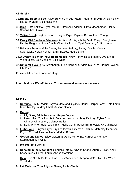#### **Cinderella –**

- 31.**Bibbity Bobbity Boo**-Paige Burkhart, Alexis Maurer, Hannah Brown, Ainsley Birky, Harper Waters, Alice McKenna
- 32.**Mice** Kate Kalitzky, Lyndi Maurer, Dawson Logsdon, Olivia Macpherson, Hailey Secord, Kat Durako
- 33.**Valise Royal** Peyton Secord, Kinlynn Dryer, Brynlee Brown, Faith Young
- 34.**Every Girl Can be a Princess** Addison Morris, Whitley Volk, Evelyn Baughman, Hadley Ferguson, Luna Smith, Charlotte Probst, Opal Bateman, Collins Henry
- 35.**Princess Dance** Millie Carter, Brynnen Soliday, Sunny Yeagle, Melany Spierowski, Norah Hevner, Emily Baxley, Mattie Baker
- 36.**A Dream is a Wish Your Heart Makes** Kirby Henry, Reese Martin, Eva Smith, Violet Mintz, Bella Jenkins, Ellie Woith
- 37.**Cinderella Waltz**-Ivy Stombaugh, Elise McKenna, Addie McKenna, Harper Joyner, Lily Giles
- **Finale –** All dancers come on stage

# **Intermission –** *We will take a 10 minute break in between scenes*

# **Scene 2-**

1. **Carousel**-Emily Rogers, Alyssa Moreland. Sydney Heuer, Harper Lamb, Kate Lamb, Kiara McCoy, Audrey Elliott, Adyson Shane

# 2. **Butter**-

- a. Lily Giles, Addie McKenna, Harper Joyner
- b. Lyza Miller, Zoe Picchietti, Dean Armstrong, Aubrey Kalitzky, Rylee Dixon, Charley Charleston, Delaney Butler
- c. Karly Warner, Heidi Wiechman, Halle Gerth, Resse Buhrmester, Kyleigh Baker
- 3. **Fight Song** Kinlynn Dryer, Brynlee Brown, Emerson Kalitzky, McKinley Dennison, Peyton Secord, Eva Faulkner, Maddie Brown
- 4. **Get Up and Dance** Elise McKenna, Addie McKenna, Harper Joyner, Ivy Stombaugh, Lily Giles
- 5. **Me Too** Bri Fasking
- 6. **Dancing in the Moonlight**-Gabrielle Streily, Adyson Shane, Audrey Elliott, Abby Kachelmuss, Harper Lamb, Alyssa Moreland
- 7. **Halo** Eva Smith, Bella Jenkins, Heidi Wiechman, Teagan McCarthy, Ellie Woith, Violet Mintz
- 8. **Let Me Move You** Adyson Shane, Ashley Walls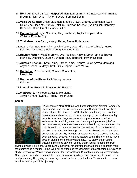- 9. **Hold On** Maddie Brown, Harper Dillman, Lauren Burkhart, Eva Faulkner, Brynlee Brown, Kinlynn Dryer, Payton Secord, Summer Berlin
- 10.**Valse De Cygnes**-Chloe Stutzman, Maddie Brown, Charley Charleston, Lyza Miller, Zoe Picchietti, Aubrey Kalitzky, Emerson Kalitzky, Eva Faulker, McKinley Dennison, Clara Grant, Delaney Butler
- 11.**Outnumbered** -Rylie Spencer, Abby Ruebush, Taylor Temples, Mari Watkins, Kiara McCoy
- 12.**That Man** Halle Gerth, Kyleigh Baker, Reese Burhmester
- 13.**Sax** Chloe Stutzman, Charley Charleston, Lyza Miller, Zoe Picchietti, Aubrey Kalitzky, Clara Grant, Faith Young, Delaney Butler
- 14.**Rhythm Nation** Maddie Brown, Eva Faulkner, Kinlynn Dryer, Brynlee Brown, McKinley Dennison, Lauren Burkhart, Kacy Bertsche, Peyton Secord
- 15.**Aurora's Friends**-- Kate Lamb, Harper Lamb, Sydney Heuer, Alyssa Moreland, Adyson Shane, Audrey Elliott, Emily Rogers, Kiara McCoy
- 16.**Confident** Zoe Picchietti, Charley Charleston, Lyza Miller
- 17.**Bottom of the River** Faith Young, Aubrey Kalitzky
- 18.**Landslide** Reese Buhrmester, Bri Fasking
- 19.**Waitress** Emily Rogers, Alyssa Moreland, Adyson Shane, Sydney Heuer, Harper Lamb

#### **Senior**



Hi! My name is **Mari Watkins**, and I graduated from Normal Community High School this year. I we been dancing at Stacy is since I was three years old, and love dance for NCHS for the past three years, love tried many styles such as ballet, tap, jazz, hip hop, lyrical, and modern. My parents have been huge supporters in my academic and athletic endeavors. From driving me to practices to getting me ready before performances, my mom has been very involved in my dance career. My dad pitched in too when he watched the entirety of Dance Moms with me. Ign so grateful they are supported me and allowed me to grow as a person and dancer. My teachers and coaches over the years have also been amazing. Especially in these last few years, love learned so much through studio dance and my team at NCHS. Stacy, thank you for trusting in me since day one. Jenna, thank you for keeping me from

giving up when it got hard. Coach Ewalt, thank you for showing me that dance is so much more than performing a routine. In the fall, I will be attending the University of Manchester in England to study Psychology. While I wond dance for their school team, Id continue dancing recreationally. Once you get roped in this much to a sport, you never really get out. Dance has been one of the best parts of my life, giving me amazing memories, friends, and values. Thank you to everyone who has been a part of this journey.